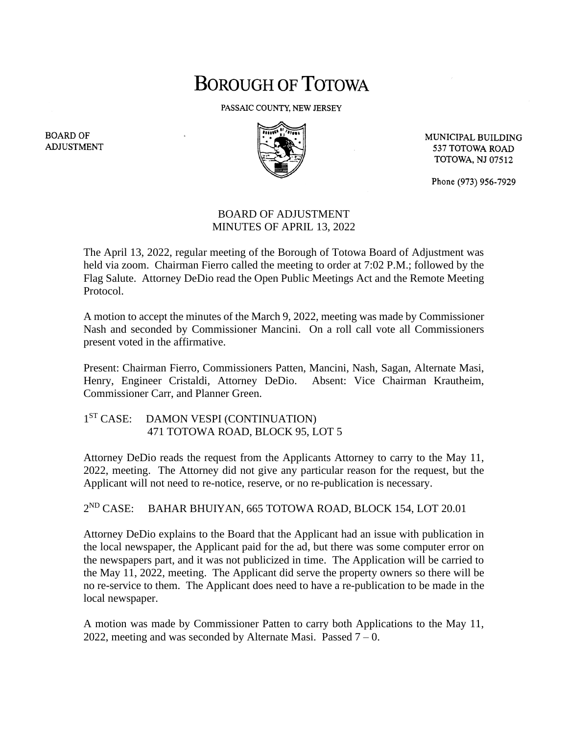## **BOROUGH OF TOTOWA**

PASSAIC COUNTY, NEW JERSEY



MUNICIPAL BUILDING 537 TOTOWA ROAD **TOTOWA, NJ 07512** 

Phone (973) 956-7929

## BOARD OF ADJUSTMENT MINUTES OF APRIL 13, 2022

The April 13, 2022, regular meeting of the Borough of Totowa Board of Adjustment was held via zoom. Chairman Fierro called the meeting to order at 7:02 P.M.; followed by the Flag Salute. Attorney DeDio read the Open Public Meetings Act and the Remote Meeting Protocol.

A motion to accept the minutes of the March 9, 2022, meeting was made by Commissioner Nash and seconded by Commissioner Mancini. On a roll call vote all Commissioners present voted in the affirmative.

Present: Chairman Fierro, Commissioners Patten, Mancini, Nash, Sagan, Alternate Masi, Henry, Engineer Cristaldi, Attorney DeDio. Absent: Vice Chairman Krautheim, Commissioner Carr, and Planner Green.

## 1<sup>ST</sup> CASE: DAMON VESPI (CONTINUATION) 471 TOTOWA ROAD, BLOCK 95, LOT 5

Attorney DeDio reads the request from the Applicants Attorney to carry to the May 11, 2022, meeting. The Attorney did not give any particular reason for the request, but the Applicant will not need to re-notice, reserve, or no re-publication is necessary.

 $2^{\text{ND}}$  CASE: BAHAR BHUIYAN, 665 TOTOWA ROAD, BLOCK 154, LOT 20.01

Attorney DeDio explains to the Board that the Applicant had an issue with publication in the local newspaper, the Applicant paid for the ad, but there was some computer error on the newspapers part, and it was not publicized in time. The Application will be carried to the May 11, 2022, meeting. The Applicant did serve the property owners so there will be no re-service to them. The Applicant does need to have a re-publication to be made in the local newspaper.

A motion was made by Commissioner Patten to carry both Applications to the May 11, 2022, meeting and was seconded by Alternate Masi. Passed  $7 - 0$ .

**BOARD OF ADJUSTMENT**